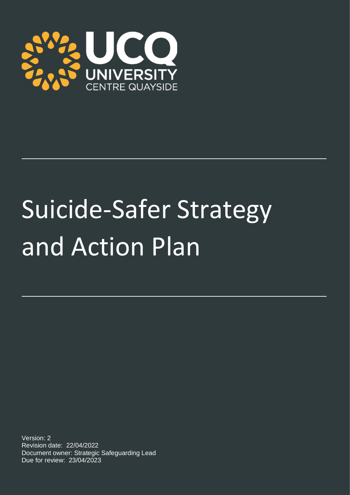

# Suicide-Safer Strategy and Action Plan

Version: 2 Revision date: 22/04/2022 Document owner: Strategic Safeguarding Lead Due for review: 23/04/2023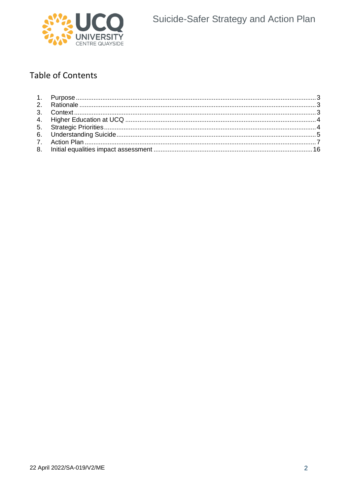

## **Table of Contents**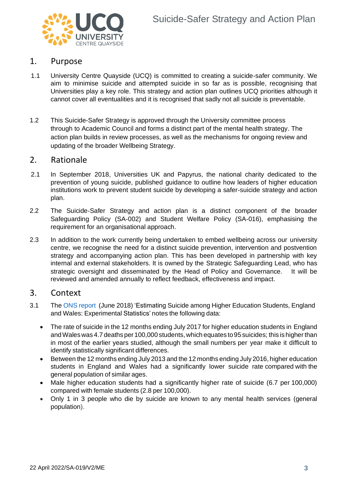

## <span id="page-2-0"></span>1. Purpose

- 1.1 University Centre Quayside (UCQ) is committed to creating a suicide-safer community. We aim to minimise suicide and attempted suicide in so far as is possible, recognising that Universities play a key role. This strategy and action plan outlines UCQ priorities although it cannot cover all eventualities and it is recognised that sadly not all suicide is preventable.
- 1.2 This Suicide-Safer Strategy is approved through the University committee process through to Academic Council and forms a distinct part of the mental health strategy. The action plan builds in review processes, as well as the mechanisms for ongoing review and updating of the broader Wellbeing Strategy.

### <span id="page-2-1"></span>2. Rationale

- 2.1 In September 2018, Universities UK and Papyrus, the national charity dedicated to the prevention of young suicide, published [guidance](https://www.universitiesuk.ac.uk/what-we-do/policy-and-research/publications/suicide-safer-universities) to outline how leaders of higher education institutions work to prevent student suicide by developing a safer-suicide strategy and action plan.
- 2.2 The Suicide-Safer Strategy and action plan is a distinct component of the broader Safeguarding Policy (SA-002) and Student Welfare Policy (SA-016), emphasising the requirement for an organisational approach.
- 2.3 In addition to the work currently being undertaken to embed wellbeing across our university centre, we recognise the need for a distinct suicide prevention, intervention and postvention strategy and accompanying action plan. This has been developed in partnership with key internal and external stakeholders. It is owned by the Strategic Safeguarding Lead, who has strategic oversight and disseminated by the Head of Policy and Governance. It will be reviewed and amended annually to reflect feedback, effectiveness and impact.

## <span id="page-2-2"></span>3. Context

- 3.1 The ONS [report](https://www.ons.gov.uk/peoplepopulationandcommunity/birthsdeathsandmarriages/deaths/articles/estimatingsuicideamonghighereducationstudentsenglandandwalesexperimentalstatistics/2018-06-25#things-you-need-to-know-about-this-release) (June 2018) 'Estimating Suicide among Higher Education Students, England and Wales: Experimental Statistics' notes the following data:
	- The rate of suicide in the 12 months ending July 2017 for higher education students in England andWaleswas 4.7 deaths per 100,000 students,which equates to95 suicides; this ishigher than in most of the earlier years studied, although the small numbers per year make it difficult to identify statistically significant differences.
	- Between the 12 months ending July 2013 and the 12 months ending July 2016, higher education students in England and Wales had a significantly lower suicide rate compared with the general population of similar ages.
	- Male higher education students had a significantly higher rate of suicide (6.7 per 100,000) compared with female students (2.8 per 100,000).
	- Only 1 in 3 people who die by suicide are known to any mental health services (general population).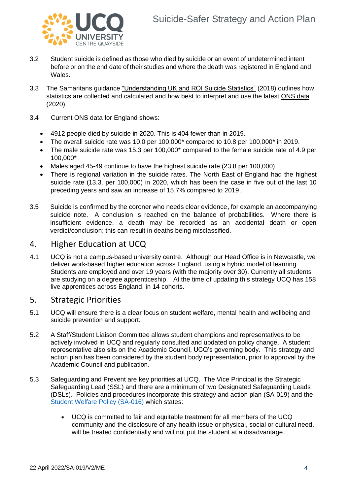

- 3.2 Student suicide is defined as those who died by suicide or an event of undetermined intent before or on the end date of their studies and where the death was registered in England and Wales.
- 3.3 The Samaritans guidance ["Understanding UK and ROI Suicide Statistics"](https://media.samaritans.org/documents/Understanding_UK_and_ROI_Suicide_Statistics.pdf) (2018) outlines how statistics are collected and calculated and how best to interpret and use the latest [ONS data](https://media.samaritans.org/documents/Suicide_Stats_England_2020_FINAL_eONhYYF.pdf) (2020).
- 3.4 Current ONS data for England shows:
	- 4912 people died by suicide in 2020. This is 404 fewer than in 2019.
	- The overall suicide rate was 10.0 per  $100,000^*$  compared to 10.8 per  $100,000^*$  in 2019.
	- The male suicide rate was 15.3 per 100,000\* compared to the female suicide rate of 4.9 per 100,000\*
	- Males aged 45-49 continue to have the highest suicide rate (23.8 per 100,000)
	- There is regional variation in the suicide rates. The North East of England had the highest suicide rate (13.3. per 100,000) in 2020, which has been the case in five out of the last 10 preceding years and saw an increase of 15.7% compared to 2019.
- 3.5 Suicide is confirmed by the coroner who needs clear evidence, for example an accompanying suicide note. A conclusion is reached on the balance of probabilities. Where there is insufficient evidence, a death may be recorded as an accidental death or open verdict/conclusion; this can result in deaths being misclassified.

## <span id="page-3-0"></span>4. Higher Education at UCQ

4.1 UCQ is not a campus-based university centre. Although our Head Office is in Newcastle, we deliver work-based higher education across England, using a hybrid model of learning. Students are employed and over 19 years (with the majority over 30). Currently all students are studying on a degree apprenticeship. At the time of updating this strategy UCQ has 158 live apprentices across England, in 14 cohorts.

## <span id="page-3-1"></span>5. Strategic Priorities

- 5.1 UCQ will ensure there is a clear focus on student welfare, mental health and wellbeing and suicide prevention and support.
- 5.2 A Staff/Student Liaison Committee allows student champions and representatives to be actively involved in UCQ and regularly consulted and updated on policy change. A student representative also sits on the Academic Council, UCQ's governing body. This strategy and action plan has been considered by the student body representation, prior to approval by the Academic Council and publication.
- 5.3 Safeguarding and Prevent are key priorities at UCQ. The Vice Principal is the Strategic Safeguarding Lead (SSL) and there are a minimum of two Designated Safeguarding Leads (DSLs). Policies and procedures incorporate this strategy and action plan (SA-019) and the [Student Welfare](https://ucq.ac.uk/wp-content/uploads/2021/02/SA-016-Student-Welfare-Policy-V1.pdf) Policy (SA-016) which states:
	- UCQ is committed to fair and equitable treatment for all members of the UCQ community and the disclosure of any health issue or physical, social or cultural need, will be treated confidentially and will not put the student at a disadvantage.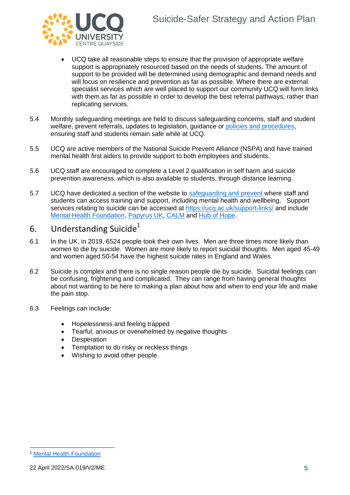

- UCQ take all reasonable steps to ensure that the provision of appropriate welfare support is appropriately resourced based on the needs of students. The amount of support to be provided will be determined using demographic and demand needs and will focus on resilience and prevention as far as possible. Where there are external specialist services which are well placed to support our community UCQ will form links with them as far as possible in order to develop the best referral pathways, rather than replicating services.
- 5.4 Monthly safeguarding meetings are held to discuss safeguarding concerns, staff and student welfare, prevent referrals, updates to legislation, guidance or [policies and procedures,](https://ucq.ac.uk/safeguarding-and-prevent-2/) ensuring staff and students remain safe while at UCQ.
- 5.5 UCQ are active members of the National Suicide Prevent Alliance (NSPA) and have trained mental health first aiders to provide support to both employees and students.
- 5.6 UCQ staff are encouraged to complete a Level 2 qualification in self harm and suicide prevention awareness, which is also available to students, through distance learning.
- 5.7 UCQ have dedicated a section of the website to [safeguarding and prevent](https://ucq.ac.uk/safeguarding-and-prevent/) where staff and students can access training and support, including mental health and wellbeing. Support services relating to suicide can be accessed at<https://ucq.ac.uk/support-links/> and include [Mental Health Foundation,](https://www.mentalhealth.org.uk/a-to-z/s/suicide) [Papyrus UK,](https://www.papyrus-uk.org/) [CALM](https://www.thecalmzone.net/help/get-help/) and [Hub of Hope.](https://hubofhope.co.uk/)

## <span id="page-4-0"></span>6. Understanding Suicide $<sup>1</sup>$ </sup>

- 6.1 In the UK, in 2019, 6524 people took their own lives. Men are three times more likely than women to die by suicide. Women are more likely to report suicidal thoughts. Men aged 45-49 and women aged 50-54 have the highest suicide rates in England and Wales.
- 6.2 Suicide is complex and there is no single reason people die by suicide. Suicidal feelings can be confusing, frightening and complicated. They can range from having general thoughts about not wanting to be here to making a plan about how and when to end your life and make the pain stop.
- 6.3 Feelings can include:
	- Hopelessness and feeling trapped
	- Tearful, anxious or overwhelmed by negative thoughts
	- **Desperation**
	- Temptation to do risky or reckless things
	- Wishing to avoid other people.

**[Mental Health Foundation](https://www.mentalhealth.org.uk/a-to-z/s/suicide)**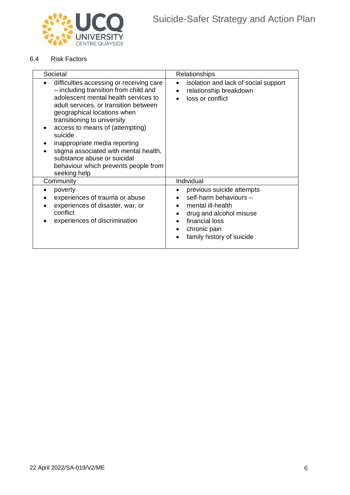

#### 6.4 Risk Factors

| Societal                                                                                                                                                                                                                                                                                                                                                                                                                                        | Relationships                                                                                                                                                      |
|-------------------------------------------------------------------------------------------------------------------------------------------------------------------------------------------------------------------------------------------------------------------------------------------------------------------------------------------------------------------------------------------------------------------------------------------------|--------------------------------------------------------------------------------------------------------------------------------------------------------------------|
| difficulties accessing or receiving care<br>- including transition from child and<br>adolescent mental health services to<br>adult services, or transition between<br>geographical locations when<br>transitioning to university<br>access to means of (attempting)<br>suicide<br>inappropriate media reporting<br>stigma associated with mental health,<br>substance abuse or suicidal<br>behaviour which prevents people from<br>seeking help | isolation and lack of social support<br>relationship breakdown<br>loss or conflict                                                                                 |
| Community                                                                                                                                                                                                                                                                                                                                                                                                                                       | Individual                                                                                                                                                         |
| poverty<br>experiences of trauma or abuse<br>experiences of disaster, war, or<br>conflict<br>experiences of discrimination                                                                                                                                                                                                                                                                                                                      | previous suicide attempts<br>self-harm behaviours -<br>mental ill-health<br>drug and alcohol misuse<br>financial loss<br>chronic pain<br>family history of suicide |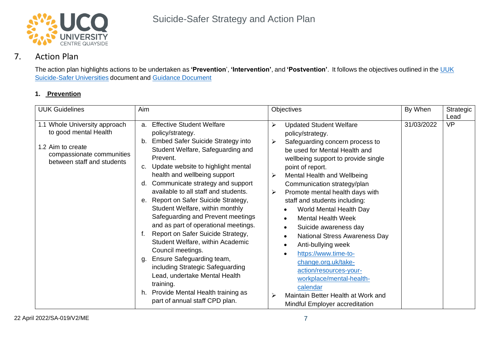

## 7. Action Plan

The action plan highlights actions to be undertaken as **'Prevention**', **'Intervention'**, and **'Postvention'**. It follows the objectives outlined in the [UUK](https://www.universitiesuk.ac.uk/policy-and-analysis/reports/Pages/guidance-for-universities-on-preventing-student-suicides.aspx) [Suicide-Safer](https://www.universitiesuk.ac.uk/policy-and-analysis/reports/Pages/guidance-for-universities-on-preventing-student-suicides.aspx) Universities document and [Guidance Document](https://www.universitiesuk.ac.uk/sites/default/files/field/downloads/2021-09/guidance-for-universities-on-preventing-student-suicides.pdf)

#### **1. Prevention**

<span id="page-6-0"></span>

| <b>UUK Guidelines</b>                                                                                                                  | Aim                                                                                                                                                                                                                                                                                                                                                                                                                                                                                                                                                                                                                                                                                                                                                                                          | Objectives                                                                                                                                                                                                                                                                                                                                                                                                                                                                                                                                                                                                                                                                                                                                                         | By When    | Strategic<br>Lead |
|----------------------------------------------------------------------------------------------------------------------------------------|----------------------------------------------------------------------------------------------------------------------------------------------------------------------------------------------------------------------------------------------------------------------------------------------------------------------------------------------------------------------------------------------------------------------------------------------------------------------------------------------------------------------------------------------------------------------------------------------------------------------------------------------------------------------------------------------------------------------------------------------------------------------------------------------|--------------------------------------------------------------------------------------------------------------------------------------------------------------------------------------------------------------------------------------------------------------------------------------------------------------------------------------------------------------------------------------------------------------------------------------------------------------------------------------------------------------------------------------------------------------------------------------------------------------------------------------------------------------------------------------------------------------------------------------------------------------------|------------|-------------------|
| 1.1 Whole University approach<br>to good mental Health<br>1.2 Aim to create<br>compassionate communities<br>between staff and students | <b>Effective Student Welfare</b><br>a.<br>policy/strategy.<br><b>Embed Safer Suicide Strategy into</b><br>b.<br>Student Welfare, Safeguarding and<br>Prevent.<br>Update website to highlight mental<br>c.<br>health and wellbeing support<br>Communicate strategy and support<br>d.<br>available to all staff and students.<br>Report on Safer Suicide Strategy,<br>е.<br>Student Welfare, within monthly<br>Safeguarding and Prevent meetings<br>and as part of operational meetings.<br>Report on Safer Suicide Strategy,<br>f.<br>Student Welfare, within Academic<br>Council meetings.<br>Ensure Safeguarding team,<br>g.<br>including Strategic Safeguarding<br>Lead, undertake Mental Health<br>training.<br>Provide Mental Health training as<br>h.<br>part of annual staff CPD plan. | <b>Updated Student Welfare</b><br>➤<br>policy/strategy.<br>Safeguarding concern process to<br>➤<br>be used for Mental Health and<br>wellbeing support to provide single<br>point of report.<br>Mental Health and Wellbeing<br>➤<br>Communication strategy/plan<br>Promote mental health days with<br>➤<br>staff and students including:<br>World Mental Health Day<br>$\bullet$<br><b>Mental Health Week</b><br>$\bullet$<br>Suicide awareness day<br>$\bullet$<br><b>National Stress Awareness Day</b><br>$\bullet$<br>Anti-bullying week<br>$\bullet$<br>https://www.time-to-<br>$\bullet$<br>change.org.uk/take-<br>action/resources-your-<br>workplace/mental-health-<br>calendar<br>Maintain Better Health at Work and<br>➤<br>Mindful Employer accreditation | 31/03/2022 | <b>VP</b>         |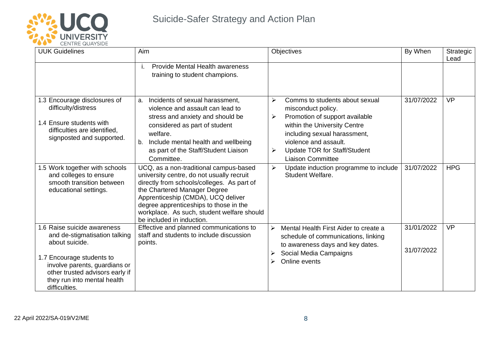

| <u>UENTRE QUATOIDE</u><br><b>UUK Guidelines</b>                                                                                                                                                                                 | Aim                                                                                                                                                                                                                                                                                                                          | <b>Objectives</b>                                                                                                                                                                                                                                                 | By When                  | Strategic<br>Lead |
|---------------------------------------------------------------------------------------------------------------------------------------------------------------------------------------------------------------------------------|------------------------------------------------------------------------------------------------------------------------------------------------------------------------------------------------------------------------------------------------------------------------------------------------------------------------------|-------------------------------------------------------------------------------------------------------------------------------------------------------------------------------------------------------------------------------------------------------------------|--------------------------|-------------------|
|                                                                                                                                                                                                                                 | <b>Provide Mental Health awareness</b><br>i.<br>training to student champions.                                                                                                                                                                                                                                               |                                                                                                                                                                                                                                                                   |                          |                   |
| 1.3 Encourage disclosures of<br>difficulty/distress<br>1.4 Ensure students with<br>difficulties are identified,<br>signposted and supported.                                                                                    | a. Incidents of sexual harassment,<br>violence and assault can lead to<br>stress and anxiety and should be<br>considered as part of student<br>welfare.<br>b. Include mental health and wellbeing<br>as part of the Staff/Student Liaison<br>Committee.                                                                      | Comms to students about sexual<br>≻<br>misconduct policy.<br>Promotion of support available<br>➤<br>within the University Centre<br>including sexual harassment,<br>violence and assault.<br><b>Update TOR for Staff/Student</b><br>➤<br><b>Liaison Committee</b> | 31/07/2022               | <b>VP</b>         |
| 1.5 Work together with schools<br>and colleges to ensure<br>smooth transition between<br>educational settings.                                                                                                                  | UCQ, as a non-traditional campus-based<br>university centre, do not usually recruit<br>directly from schools/colleges. As part of<br>the Chartered Manager Degree<br>Apprenticeship (CMDA), UCQ deliver<br>degree apprenticeships to those in the<br>workplace. As such, student welfare should<br>be included in induction. | Update induction programme to include<br>➤<br>Student Welfare.                                                                                                                                                                                                    | 31/07/2022               | <b>HPG</b>        |
| 1.6 Raise suicide awareness<br>and de-stigmatisation talking<br>about suicide.<br>1.7 Encourage students to<br>involve parents, guardians or<br>other trusted advisors early if<br>they run into mental health<br>difficulties. | Effective and planned communications to<br>staff and students to include discussion<br>points.                                                                                                                                                                                                                               | $\blacktriangleright$<br>Mental Health First Aider to create a<br>schedule of communications, linking<br>to awareness days and key dates.<br>Social Media Campaigns<br>Online events                                                                              | 31/01/2022<br>31/07/2022 | <b>VP</b>         |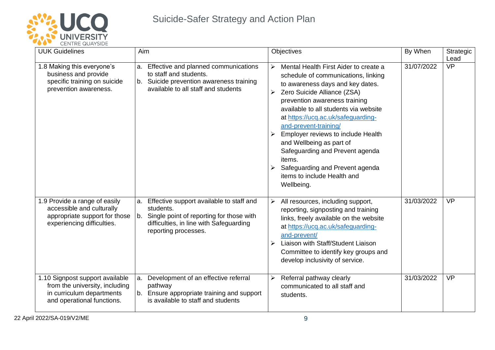

| <u>ULIVIKE WUATJIVE</u><br><b>UUK Guidelines</b>                                                                             | Aim                                                                                                                                                                        | Objectives                                                                                                                                                                                                                                                                                                                                                                                                                                                                                                            | By When    | Strategic<br>Lead |
|------------------------------------------------------------------------------------------------------------------------------|----------------------------------------------------------------------------------------------------------------------------------------------------------------------------|-----------------------------------------------------------------------------------------------------------------------------------------------------------------------------------------------------------------------------------------------------------------------------------------------------------------------------------------------------------------------------------------------------------------------------------------------------------------------------------------------------------------------|------------|-------------------|
| 1.8 Making this everyone's<br>business and provide<br>specific training on suicide<br>prevention awareness.                  | a. Effective and planned communications<br>to staff and students.<br>b. Suicide prevention awareness training<br>available to all staff and students                       | Mental Health First Aider to create a<br>$\blacktriangleright$<br>schedule of communications, linking<br>to awareness days and key dates.<br>Zero Suicide Alliance (ZSA)<br>➤<br>prevention awareness training<br>available to all students via website<br>at https://ucq.ac.uk/safeguarding-<br>and-prevent-training/<br>Employer reviews to include Health<br>and Wellbeing as part of<br>Safeguarding and Prevent agenda<br>items.<br>Safeguarding and Prevent agenda<br>items to include Health and<br>Wellbeing. | 31/07/2022 | <b>VP</b>         |
| 1.9 Provide a range of easily<br>accessible and culturally<br>appropriate support for those<br>experiencing difficulties.    | a. Effective support available to staff and<br>students.<br>b. Single point of reporting for those with<br>difficulties, in line with Safeguarding<br>reporting processes. | $\blacktriangleright$<br>All resources, including support,<br>reporting, signposting and training<br>links, freely available on the website<br>at https://ucq.ac.uk/safeguarding-<br>and-prevent/<br>Liaison with Staff/Student Liaison<br>➤<br>Committee to identify key groups and<br>develop inclusivity of service.                                                                                                                                                                                               | 31/03/2022 | <b>VP</b>         |
| 1.10 Signpost support available<br>from the university, including<br>in curriculum departments<br>and operational functions. | Development of an effective referral<br>a.<br>pathway<br>b. Ensure appropriate training and support<br>is available to staff and students                                  | Referral pathway clearly<br>➤<br>communicated to all staff and<br>students.                                                                                                                                                                                                                                                                                                                                                                                                                                           | 31/03/2022 | <b>VP</b>         |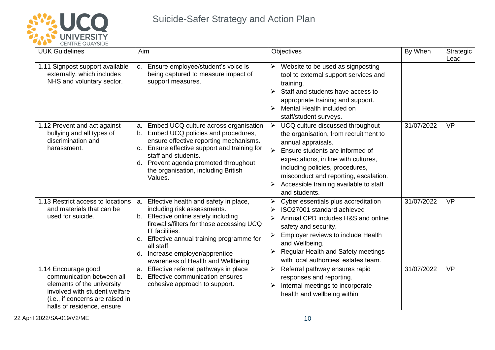

| <b>UUK Guidelines</b>                                                                                                                                                             | Aim                                                                                                                                                                                                                                                                                                                  | Objectives                                                                                                                                                                                                                                                                                                                                                          | By When    | Strategic<br>Lead |
|-----------------------------------------------------------------------------------------------------------------------------------------------------------------------------------|----------------------------------------------------------------------------------------------------------------------------------------------------------------------------------------------------------------------------------------------------------------------------------------------------------------------|---------------------------------------------------------------------------------------------------------------------------------------------------------------------------------------------------------------------------------------------------------------------------------------------------------------------------------------------------------------------|------------|-------------------|
| 1.11 Signpost support available<br>externally, which includes<br>NHS and voluntary sector.                                                                                        | Ensure employee/student's voice is<br>C.<br>being captured to measure impact of<br>support measures.                                                                                                                                                                                                                 | Website to be used as signposting<br>➤<br>tool to external support services and<br>training.<br>Staff and students have access to<br>appropriate training and support.<br>Mental Health included on<br>➤<br>staff/student surveys.                                                                                                                                  |            |                   |
| 1.12 Prevent and act against<br>bullying and all types of<br>discrimination and<br>harassment.                                                                                    | Embed UCQ culture across organisation<br>a.<br>b. Embed UCQ policies and procedures,<br>ensure effective reporting mechanisms.<br>Ensure effective support and training for<br>C.<br>staff and students.<br>Prevent agenda promoted throughout<br>d.<br>the organisation, including British<br>Values.               | UCQ culture discussed throughout<br>$\blacktriangleright$<br>the organisation, from recruitment to<br>annual appraisals.<br>$\blacktriangleright$<br>Ensure students are informed of<br>expectations, in line with cultures,<br>including policies, procedures,<br>misconduct and reporting, escalation.<br>Accessible training available to staff<br>and students. | 31/07/2022 | <b>VP</b>         |
| 1.13 Restrict access to locations<br>and materials that can be<br>used for suicide.                                                                                               | Effective health and safety in place,<br>a.<br>including risk assessments.<br>b. Effective online safety including<br>firewalls/filters for those accessing UCQ<br>IT facilities.<br>c. Effective annual training programme for<br>all staff<br>d. Increase employer/apprentice<br>awareness of Health and Wellbeing | Cyber essentials plus accreditation<br>➤<br>ISO27001 standard achieved<br>➤<br>Annual CPD includes H&S and online<br>≻<br>safety and security.<br>Employer reviews to include Health<br>≻<br>and Wellbeing.<br><b>Regular Health and Safety meetings</b><br>with local authorities' estates team.                                                                   | 31/07/2022 | <b>VP</b>         |
| 1.14 Encourage good<br>communication between all<br>elements of the university<br>involved with student welfare<br>(i.e., if concerns are raised in<br>halls of residence, ensure | Effective referral pathways in place<br>a.<br>b. Effective communication ensures<br>cohesive approach to support.                                                                                                                                                                                                    | Referral pathway ensures rapid<br>➤<br>responses and reporting.<br>Internal meetings to incorporate<br>➤<br>health and wellbeing within                                                                                                                                                                                                                             | 31/07/2022 | <b>VP</b>         |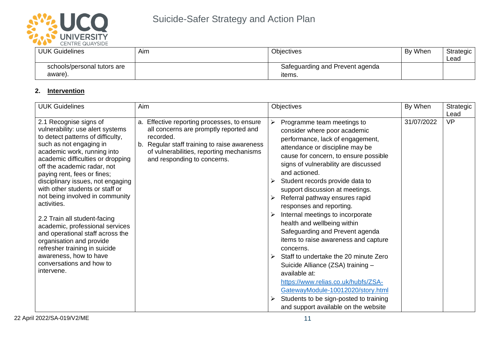

| __<br>_____________________ |     |                                 |         |           |  |
|-----------------------------|-----|---------------------------------|---------|-----------|--|
| UUK Guidelines              | Aim | <b>Objectives</b>               | By When | Strategic |  |
|                             |     |                                 |         | Lead      |  |
| schools/personal tutors are |     | Safeguarding and Prevent agenda |         |           |  |
| aware).                     |     | items.                          |         |           |  |

## **2. Intervention**

| <b>UUK Guidelines</b>                                                                                                                                                                                                                                                                                                                                                                                                                                                                                                                                                                                                          | Aim                                                                                                                                                                                                                           | Objectives                                                                                                                                                                                                                                                                                                                                                                                                                                                                                                                                                                                                                                                                                                                                                                                           | By When    | Strategic<br>Lead |
|--------------------------------------------------------------------------------------------------------------------------------------------------------------------------------------------------------------------------------------------------------------------------------------------------------------------------------------------------------------------------------------------------------------------------------------------------------------------------------------------------------------------------------------------------------------------------------------------------------------------------------|-------------------------------------------------------------------------------------------------------------------------------------------------------------------------------------------------------------------------------|------------------------------------------------------------------------------------------------------------------------------------------------------------------------------------------------------------------------------------------------------------------------------------------------------------------------------------------------------------------------------------------------------------------------------------------------------------------------------------------------------------------------------------------------------------------------------------------------------------------------------------------------------------------------------------------------------------------------------------------------------------------------------------------------------|------------|-------------------|
| 2.1 Recognise signs of<br>vulnerability: use alert systems<br>to detect patterns of difficulty,<br>such as not engaging in<br>academic work, running into<br>academic difficulties or dropping<br>off the academic radar, not<br>paying rent, fees or fines;<br>disciplinary issues, not engaging<br>with other students or staff or<br>not being involved in community<br>activities.<br>2.2 Train all student-facing<br>academic, professional services<br>and operational staff across the<br>organisation and provide<br>refresher training in suicide<br>awareness, how to have<br>conversations and how to<br>intervene. | a. Effective reporting processes, to ensure<br>all concerns are promptly reported and<br>recorded.<br>b. Regular staff training to raise awareness<br>of vulnerabilities, reporting mechanisms<br>and responding to concerns. | ➤<br>Programme team meetings to<br>consider where poor academic<br>performance, lack of engagement,<br>attendance or discipline may be<br>cause for concern, to ensure possible<br>signs of vulnerability are discussed<br>and actioned.<br>Student records provide data to<br>support discussion at meetings.<br>Referral pathway ensures rapid<br>responses and reporting.<br>Internal meetings to incorporate<br>health and wellbeing within<br>Safeguarding and Prevent agenda<br>items to raise awareness and capture<br>concerns.<br>Staff to undertake the 20 minute Zero<br>Suicide Alliance (ZSA) training -<br>available at:<br>https://www.relias.co.uk/hubfs/ZSA-<br>GatewayModule-10012020/story.html<br>Students to be sign-posted to training<br>and support available on the website | 31/07/2022 | <b>VP</b>         |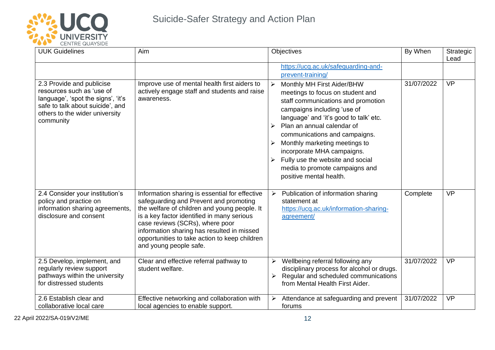

| <b>ULIVIKE WUATSIDE</b><br><b>UUK Guidelines</b>                                                                                                                                | Aim                                                                                                                                                                                                                                                                                                                                                | <b>Objectives</b><br>https://ucq.ac.uk/safeguarding-and-<br>prevent-training/                                                                                                                                                                                                                                                                                                                                                         | By When    | Strategic<br>Lead |
|---------------------------------------------------------------------------------------------------------------------------------------------------------------------------------|----------------------------------------------------------------------------------------------------------------------------------------------------------------------------------------------------------------------------------------------------------------------------------------------------------------------------------------------------|---------------------------------------------------------------------------------------------------------------------------------------------------------------------------------------------------------------------------------------------------------------------------------------------------------------------------------------------------------------------------------------------------------------------------------------|------------|-------------------|
| 2.3 Provide and publicise<br>resources such as 'use of<br>language', 'spot the signs', 'it's<br>safe to talk about suicide', and<br>others to the wider university<br>community | Improve use of mental health first aiders to<br>actively engage staff and students and raise<br>awareness.                                                                                                                                                                                                                                         | $\blacktriangleright$<br>Monthly MH First Aider/BHW<br>meetings to focus on student and<br>staff communications and promotion<br>campaigns including 'use of<br>language' and 'it's good to talk' etc.<br>Plan an annual calendar of<br>communications and campaigns.<br>Monthly marketing meetings to<br>incorporate MHA campaigns.<br>Fully use the website and social<br>media to promote campaigns and<br>positive mental health. | 31/07/2022 | <b>VP</b>         |
| 2.4 Consider your institution's<br>policy and practice on<br>information sharing agreements,<br>disclosure and consent                                                          | Information sharing is essential for effective<br>safeguarding and Prevent and promoting<br>the welfare of children and young people. It<br>is a key factor identified in many serious<br>case reviews (SCRs), where poor<br>information sharing has resulted in missed<br>opportunities to take action to keep children<br>and young people safe. | Publication of information sharing<br>$\blacktriangleright$<br>statement at<br>https://ucq.ac.uk/information-sharing-<br>agreement/                                                                                                                                                                                                                                                                                                   | Complete   | <b>VP</b>         |
| 2.5 Develop, implement, and<br>regularly review support<br>pathways within the university<br>for distressed students                                                            | Clear and effective referral pathway to<br>student welfare.                                                                                                                                                                                                                                                                                        | Wellbeing referral following any<br>➤<br>disciplinary process for alcohol or drugs.<br>Regular and scheduled communications<br>➤<br>from Mental Health First Aider.                                                                                                                                                                                                                                                                   | 31/07/2022 | <b>VP</b>         |
| 2.6 Establish clear and<br>collaborative local care                                                                                                                             | Effective networking and collaboration with<br>local agencies to enable support.                                                                                                                                                                                                                                                                   | Attendance at safeguarding and prevent<br>➤<br>forums                                                                                                                                                                                                                                                                                                                                                                                 | 31/07/2022 | <b>VP</b>         |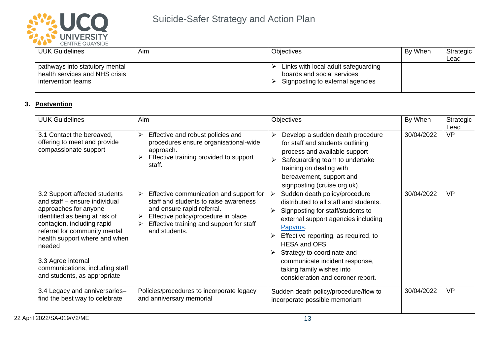

| <b>UUK Guidelines</b>                                                                  | Aim | <b>Objectives</b>                                                                                     | By When | Strategic<br>Lead |
|----------------------------------------------------------------------------------------|-----|-------------------------------------------------------------------------------------------------------|---------|-------------------|
| pathways into statutory mental<br>health services and NHS crisis<br>intervention teams |     | Links with local adult safeguarding<br>boards and social services<br>Signposting to external agencies |         |                   |

#### **3. Postvention**

| <b>UUK Guidelines</b>                                                                                                                                                                                                                                                                                                        | Aim                                                                                                                                                                                                                               | <b>Objectives</b>                                                                                                                                                                                                                                                                                                                                                                | By When    | Strategic<br>Lead |
|------------------------------------------------------------------------------------------------------------------------------------------------------------------------------------------------------------------------------------------------------------------------------------------------------------------------------|-----------------------------------------------------------------------------------------------------------------------------------------------------------------------------------------------------------------------------------|----------------------------------------------------------------------------------------------------------------------------------------------------------------------------------------------------------------------------------------------------------------------------------------------------------------------------------------------------------------------------------|------------|-------------------|
| 3.1 Contact the bereaved,<br>offering to meet and provide<br>compassionate support                                                                                                                                                                                                                                           | Effective and robust policies and<br>➤<br>procedures ensure organisational-wide<br>approach.<br>Effective training provided to support<br>staff.                                                                                  | Develop a sudden death procedure<br>➤<br>for staff and students outlining<br>process and available support<br>Safeguarding team to undertake<br>➤<br>training on dealing with<br>bereavement, support and<br>signposting (cruise.org.uk).                                                                                                                                        | 30/04/2022 | <b>VP</b>         |
| 3.2 Support affected students<br>and staff - ensure individual<br>approaches for anyone<br>identified as being at risk of<br>contagion, including rapid<br>referral for community mental<br>health support where and when<br>needed<br>3.3 Agree internal<br>communications, including staff<br>and students, as appropriate | Effective communication and support for<br>➤<br>staff and students to raise awareness<br>and ensure rapid referral.<br>Effective policy/procedure in place<br>≻<br>Effective training and support for staff<br>≻<br>and students. | Sudden death policy/procedure<br>➤<br>distributed to all staff and students.<br>Signposting for staff/students to<br>➤<br>external support agencies including<br>Papyrus.<br>Effective reporting, as required, to<br><b>HESA and OFS.</b><br>Strategy to coordinate and<br>➤<br>communicate incident response,<br>taking family wishes into<br>consideration and coroner report. | 30/04/2022 | VP                |
| 3.4 Legacy and anniversaries-<br>find the best way to celebrate                                                                                                                                                                                                                                                              | Policies/procedures to incorporate legacy<br>and anniversary memorial                                                                                                                                                             | Sudden death policy/procedure/flow to<br>incorporate possible memoriam                                                                                                                                                                                                                                                                                                           | 30/04/2022 | <b>VP</b>         |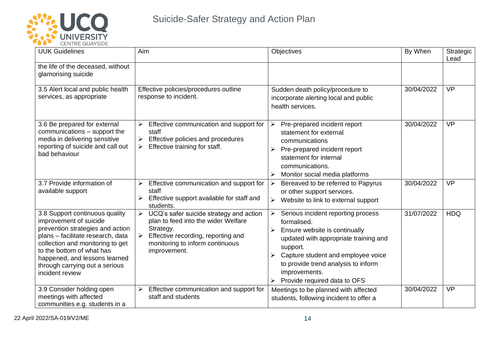

| <b>VEIVIRE WUATSIDE</b><br><b>UUK Guidelines</b>                                                                                                                                                                                                                                         | Aim                                                                                                                                                                                                                            | Objectives                                                                                                                                                                                                                                                                                               | By When    | Strategic<br>Lead |
|------------------------------------------------------------------------------------------------------------------------------------------------------------------------------------------------------------------------------------------------------------------------------------------|--------------------------------------------------------------------------------------------------------------------------------------------------------------------------------------------------------------------------------|----------------------------------------------------------------------------------------------------------------------------------------------------------------------------------------------------------------------------------------------------------------------------------------------------------|------------|-------------------|
| the life of the deceased, without<br>glamorising suicide                                                                                                                                                                                                                                 |                                                                                                                                                                                                                                |                                                                                                                                                                                                                                                                                                          |            |                   |
| 3.5 Alert local and public health<br>services, as appropriate                                                                                                                                                                                                                            | Effective policies/procedures outline<br>response to incident.                                                                                                                                                                 | Sudden death policy/procedure to<br>incorporate alerting local and public<br>health services.                                                                                                                                                                                                            | 30/04/2022 | <b>VP</b>         |
| 3.6 Be prepared for external<br>communications - support the<br>media in delivering sensitive<br>reporting of suicide and call out<br>bad behaviour                                                                                                                                      | Effective communication and support for<br>➤<br>staff<br>Effective policies and procedures<br>≻<br>Effective training for staff.<br>➤                                                                                          | $\blacktriangleright$<br>Pre-prepared incident report<br>statement for external<br>communications<br>Pre-prepared incident report<br>➤<br>statement for internal<br>communications.<br>Monitor social media platforms                                                                                    | 30/04/2022 | <b>VP</b>         |
| 3.7 Provide information of<br>available support                                                                                                                                                                                                                                          | Effective communication and support for<br>$\blacktriangleright$<br>staff<br>Effective support available for staff and<br>$\blacktriangleright$<br>students.                                                                   | Bereaved to be referred to Papyrus<br>➤<br>or other support services.<br>Website to link to external support<br>➤                                                                                                                                                                                        | 30/04/2022 | <b>VP</b>         |
| 3.8 Support continuous quality<br>improvement of suicide<br>prevention strategies and action<br>plans - facilitate research, data<br>collection and monitoring to get<br>to the bottom of what has<br>happened, and lessons learned<br>through carrying out a serious<br>incident review | UCQ's safer suicide strategy and action<br>$\blacktriangleright$<br>plan to feed into the wider Welfare<br>Strategy.<br>$\triangleright$ Effective recording, reporting and<br>monitoring to inform continuous<br>improvement. | $\blacktriangleright$<br>Serious incident reporting process<br>formalised.<br>Ensure website is continually<br>➤<br>updated with appropriate training and<br>support.<br>Capture student and employee voice<br>⋗<br>to provide trend analysis to inform<br>improvements.<br>Provide required data to OFS | 31/07/2022 | <b>HDQ</b>        |
| 3.9 Consider holding open<br>meetings with affected<br>communities e.g. students in a                                                                                                                                                                                                    | Effective communication and support for<br>$\blacktriangleright$<br>staff and students                                                                                                                                         | Meetings to be planned with affected<br>students, following incident to offer a                                                                                                                                                                                                                          | 30/04/2022 | <b>VP</b>         |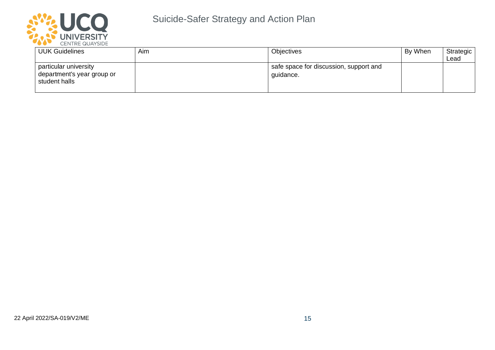

| <b>UUK Guidelines</b>                                                | Aim | Objectives                                          | By When | Strategic<br>Lead |
|----------------------------------------------------------------------|-----|-----------------------------------------------------|---------|-------------------|
| particular university<br>department's year group or<br>student halls |     | safe space for discussion, support and<br>quidance. |         |                   |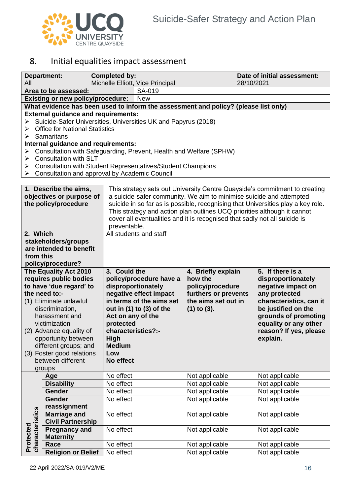

## <span id="page-15-0"></span>8. Initial equalities impact assessment

|                                                                                                                        | <b>Department:</b>                                                                                                                                                                                                                                                                                                                                                                                                                      | <b>Completed by:</b>                                                                                                                                                                                                                                                                                                                                                                                            |                                                                                                                                     |                                                                                                                      |  | Date of initial assessment:                                                                                                                                                                                            |  |
|------------------------------------------------------------------------------------------------------------------------|-----------------------------------------------------------------------------------------------------------------------------------------------------------------------------------------------------------------------------------------------------------------------------------------------------------------------------------------------------------------------------------------------------------------------------------------|-----------------------------------------------------------------------------------------------------------------------------------------------------------------------------------------------------------------------------------------------------------------------------------------------------------------------------------------------------------------------------------------------------------------|-------------------------------------------------------------------------------------------------------------------------------------|----------------------------------------------------------------------------------------------------------------------|--|------------------------------------------------------------------------------------------------------------------------------------------------------------------------------------------------------------------------|--|
| All                                                                                                                    |                                                                                                                                                                                                                                                                                                                                                                                                                                         |                                                                                                                                                                                                                                                                                                                                                                                                                 | Michelle Elliott, Vice Principal<br>28/10/2021                                                                                      |                                                                                                                      |  |                                                                                                                                                                                                                        |  |
| Area to be assessed:                                                                                                   |                                                                                                                                                                                                                                                                                                                                                                                                                                         | SA-019                                                                                                                                                                                                                                                                                                                                                                                                          |                                                                                                                                     |                                                                                                                      |  |                                                                                                                                                                                                                        |  |
| <b>Existing or new policy/procedure:</b>                                                                               |                                                                                                                                                                                                                                                                                                                                                                                                                                         |                                                                                                                                                                                                                                                                                                                                                                                                                 | <b>New</b>                                                                                                                          |                                                                                                                      |  |                                                                                                                                                                                                                        |  |
|                                                                                                                        | What evidence has been used to inform the assessment and policy? (please list only)                                                                                                                                                                                                                                                                                                                                                     |                                                                                                                                                                                                                                                                                                                                                                                                                 |                                                                                                                                     |                                                                                                                      |  |                                                                                                                                                                                                                        |  |
| ➤<br>➤<br>➤<br>➤<br>➤<br>➤<br>➤                                                                                        | <b>External guidance and requirements:</b><br>Suicide-Safer Universities, Universities UK and Papyrus (2018)<br><b>Office for National Statistics</b><br>Samaritans<br>Internal guidance and requirements:<br>Consultation with Safeguarding, Prevent, Health and Welfare (SPHW)<br><b>Consultation with SLT</b><br><b>Consultation with Student Representatives/Student Champions</b><br>Consultation and approval by Academic Council |                                                                                                                                                                                                                                                                                                                                                                                                                 |                                                                                                                                     |                                                                                                                      |  |                                                                                                                                                                                                                        |  |
|                                                                                                                        |                                                                                                                                                                                                                                                                                                                                                                                                                                         |                                                                                                                                                                                                                                                                                                                                                                                                                 |                                                                                                                                     |                                                                                                                      |  |                                                                                                                                                                                                                        |  |
|                                                                                                                        | 1. Describe the aims,<br>objectives or purpose of<br>the policy/procedure                                                                                                                                                                                                                                                                                                                                                               | This strategy sets out University Centre Quayside's commitment to creating<br>a suicide-safer community. We aim to minimise suicide and attempted<br>suicide in so far as is possible, recognising that Universities play a key role.<br>This strategy and action plan outlines UCQ priorities although it cannot<br>cover all eventualities and it is recognised that sadly not all suicide is<br>preventable. |                                                                                                                                     |                                                                                                                      |  |                                                                                                                                                                                                                        |  |
| 2. Which<br>All students and staff<br>stakeholders/groups<br>are intended to benefit<br>from this<br>policy/procedure? |                                                                                                                                                                                                                                                                                                                                                                                                                                         |                                                                                                                                                                                                                                                                                                                                                                                                                 |                                                                                                                                     |                                                                                                                      |  |                                                                                                                                                                                                                        |  |
|                                                                                                                        | The Equality Act 2010<br>requires public bodies<br>to have 'due regard' to<br>the need to:-<br>(1) Eliminate unlawful<br>discrimination,<br>harassment and<br>victimization<br>(2) Advance equality of<br>opportunity between<br>different groups; and<br>(3) Foster good relations<br>between different<br>groups                                                                                                                      | 3. Could the<br>Act on any of the<br>protected<br>characteristics?:-<br>High<br><b>Medium</b><br>Low<br>No effect                                                                                                                                                                                                                                                                                               | policy/procedure have a<br>disproportionately<br>negative effect impact<br>in terms of the aims set<br>out in $(1)$ to $(3)$ of the | 4. Briefly explain<br>how the<br>policy/procedure<br>furthers or prevents<br>the aims set out in<br>$(1)$ to $(3)$ . |  | 5. If there is a<br>disproportionately<br>negative impact on<br>any protected<br>characteristics, can it<br>be justified on the<br>grounds of promoting<br>equality or any other<br>reason? If yes, please<br>explain. |  |
|                                                                                                                        | Age                                                                                                                                                                                                                                                                                                                                                                                                                                     | No effect                                                                                                                                                                                                                                                                                                                                                                                                       |                                                                                                                                     | Not applicable                                                                                                       |  | Not applicable                                                                                                                                                                                                         |  |
|                                                                                                                        | <b>Disability</b>                                                                                                                                                                                                                                                                                                                                                                                                                       | No effect                                                                                                                                                                                                                                                                                                                                                                                                       |                                                                                                                                     | Not applicable                                                                                                       |  | Not applicable                                                                                                                                                                                                         |  |
|                                                                                                                        | Gender                                                                                                                                                                                                                                                                                                                                                                                                                                  | No effect                                                                                                                                                                                                                                                                                                                                                                                                       |                                                                                                                                     | Not applicable                                                                                                       |  | Not applicable                                                                                                                                                                                                         |  |
|                                                                                                                        | Gender<br>reassignment<br><b>Marriage and</b>                                                                                                                                                                                                                                                                                                                                                                                           | No effect<br>No effect                                                                                                                                                                                                                                                                                                                                                                                          |                                                                                                                                     | Not applicable<br>Not applicable                                                                                     |  | Not applicable<br>Not applicable                                                                                                                                                                                       |  |
| characteristics<br>Protected                                                                                           | <b>Civil Partnership</b><br><b>Pregnancy and</b><br><b>Maternity</b>                                                                                                                                                                                                                                                                                                                                                                    | No effect                                                                                                                                                                                                                                                                                                                                                                                                       |                                                                                                                                     | Not applicable                                                                                                       |  | Not applicable                                                                                                                                                                                                         |  |
|                                                                                                                        | Race                                                                                                                                                                                                                                                                                                                                                                                                                                    | No effect                                                                                                                                                                                                                                                                                                                                                                                                       |                                                                                                                                     | Not applicable                                                                                                       |  | Not applicable                                                                                                                                                                                                         |  |
|                                                                                                                        | <b>Religion or Belief</b>                                                                                                                                                                                                                                                                                                                                                                                                               | No effect                                                                                                                                                                                                                                                                                                                                                                                                       |                                                                                                                                     | Not applicable                                                                                                       |  | Not applicable                                                                                                                                                                                                         |  |